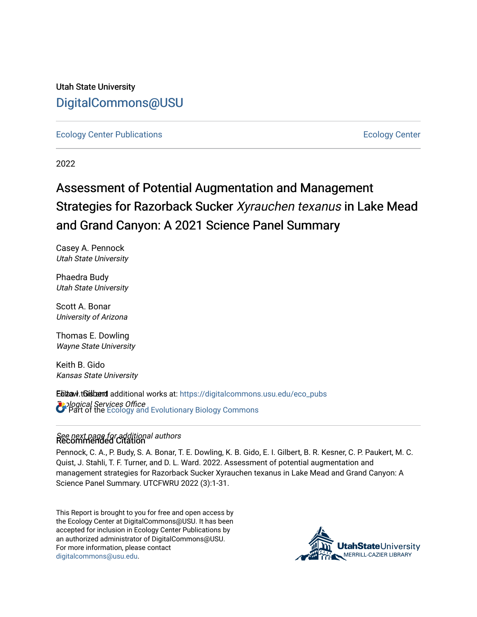Utah State University [DigitalCommons@USU](https://digitalcommons.usu.edu/)

[Ecology Center Publications](https://digitalcommons.usu.edu/eco_pubs) [Ecology Center](https://digitalcommons.usu.edu/eco_center) 

2022

# Assessment of Potential Augmentation and Management Strategies for Razorback Sucker Xyrauchen texanus in Lake Mead and Grand Canyon: A 2021 Science Panel Summary

Casey A. Pennock Utah State University

Phaedra Budy Utah State University

Scott A. Bonar University of Arizona

Thomas E. Dowling Wayne State University

Keith B. Gido Kansas State University

Etitaw.tGistærd additional works at: https://digitalcommons.usu.edu/eco\_pubs **Ecological Services Office**<br>Copert of the [Ecology and Evolutionary Biology Commons](https://network.bepress.com/hgg/discipline/14?utm_source=digitalcommons.usu.edu%2Feco_pubs%2F137&utm_medium=PDF&utm_campaign=PDFCoverPages)

## See next page for additional authors Recommended Citation

Pennock, C. A., P. Budy, S. A. Bonar, T. E. Dowling, K. B. Gido, E. I. Gilbert, B. R. Kesner, C. P. Paukert, M. C. Quist, J. Stahli, T. F. Turner, and D. L. Ward. 2022. Assessment of potential augmentation and management strategies for Razorback Sucker Xyrauchen texanus in Lake Mead and Grand Canyon: A Science Panel Summary. UTCFWRU 2022 (3):1-31.

This Report is brought to you for free and open access by the Ecology Center at DigitalCommons@USU. It has been accepted for inclusion in Ecology Center Publications by an authorized administrator of DigitalCommons@USU. For more information, please contact [digitalcommons@usu.edu.](mailto:digitalcommons@usu.edu)

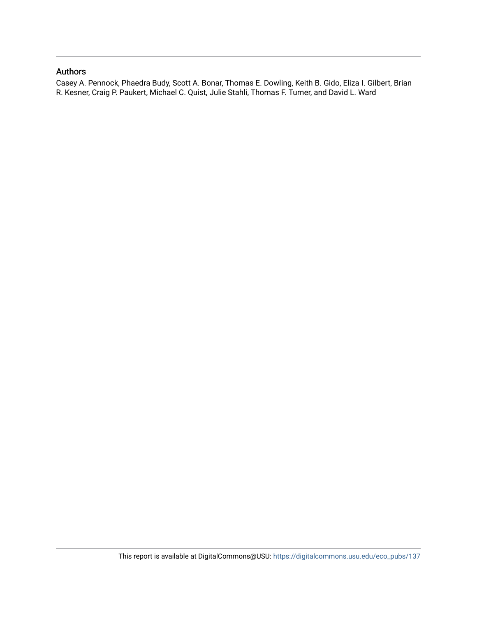#### Authors

Casey A. Pennock, Phaedra Budy, Scott A. Bonar, Thomas E. Dowling, Keith B. Gido, Eliza I. Gilbert, Brian R. Kesner, Craig P. Paukert, Michael C. Quist, Julie Stahli, Thomas F. Turner, and David L. Ward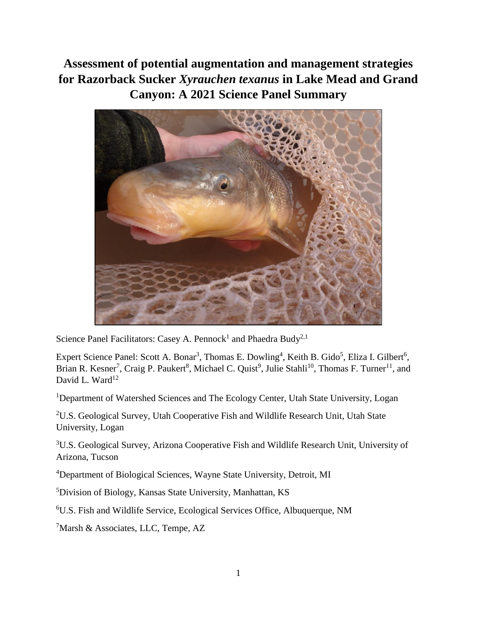**Assessment of potential augmentation and management strategies for Razorback Sucker** *Xyrauchen texanus* **in Lake Mead and Grand Canyon: A 2021 Science Panel Summary**



Science Panel Facilitators: Casey A. Pennock<sup>1</sup> and Phaedra Budy<sup>2,1</sup>

Expert Science Panel: Scott A. Bonar<sup>3</sup>, Thomas E. Dowling<sup>4</sup>, Keith B. Gido<sup>5</sup>, Eliza I. Gilbert<sup>6</sup>, Brian R. Kesner<sup>7</sup>, Craig P. Paukert<sup>8</sup>, Michael C. Quist<sup>9</sup>, Julie Stahli<sup>10</sup>, Thomas F. Turner<sup>11</sup>, and David L. Ward $12$ 

<sup>1</sup>Department of Watershed Sciences and The Ecology Center, Utah State University, Logan

<sup>2</sup>U.S. Geological Survey, Utah Cooperative Fish and Wildlife Research Unit, Utah State University, Logan

<sup>3</sup>U.S. Geological Survey, Arizona Cooperative Fish and Wildlife Research Unit, University of Arizona, Tucson

<sup>4</sup>Department of Biological Sciences, Wayne State University, Detroit, MI

<sup>5</sup>Division of Biology, Kansas State University, Manhattan, KS

<sup>6</sup>U.S. Fish and Wildlife Service, Ecological Services Office, Albuquerque, NM

 $7$ Marsh & Associates, LLC, Tempe, AZ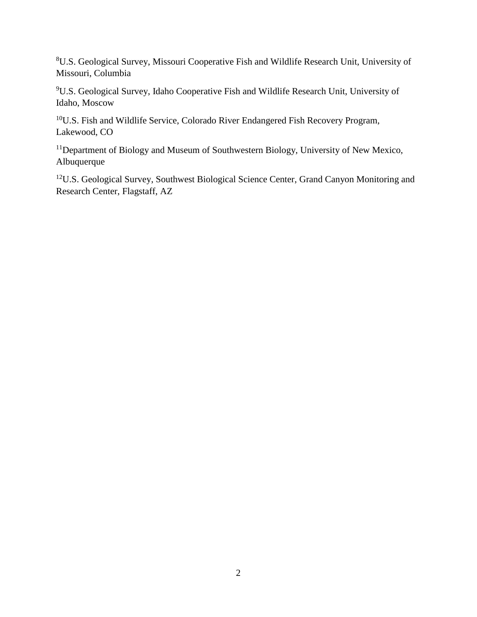<sup>8</sup>U.S. Geological Survey, Missouri Cooperative Fish and Wildlife Research Unit, University of Missouri, Columbia

<sup>9</sup>U.S. Geological Survey, Idaho Cooperative Fish and Wildlife Research Unit, University of Idaho, Moscow

<sup>10</sup>U.S. Fish and Wildlife Service, Colorado River Endangered Fish Recovery Program, Lakewood, CO

<sup>11</sup>Department of Biology and Museum of Southwestern Biology, University of New Mexico, Albuquerque

<sup>12</sup>U.S. Geological Survey, Southwest Biological Science Center, Grand Canyon Monitoring and Research Center, Flagstaff, AZ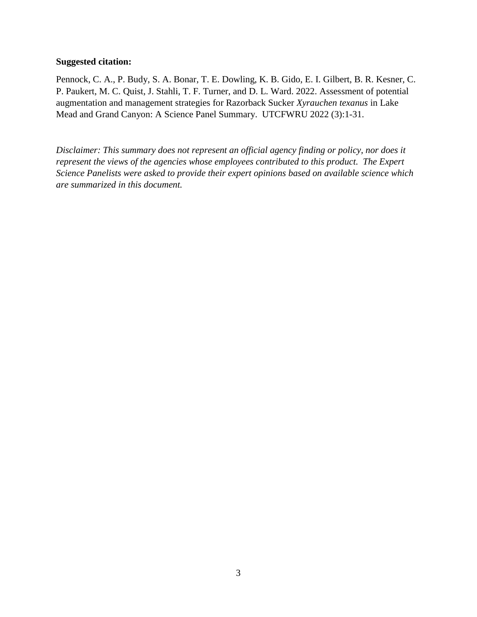#### **Suggested citation:**

Pennock, C. A., P. Budy, S. A. Bonar, T. E. Dowling, K. B. Gido, E. I. Gilbert, B. R. Kesner, C. P. Paukert, M. C. Quist, J. Stahli, T. F. Turner, and D. L. Ward. 2022. Assessment of potential augmentation and management strategies for Razorback Sucker *Xyrauchen texanus* in Lake Mead and Grand Canyon: A Science Panel Summary. UTCFWRU 2022 (3):1-31.

*Disclaimer: This summary does not represent an official agency finding or policy, nor does it represent the views of the agencies whose employees contributed to this product. The Expert Science Panelists were asked to provide their expert opinions based on available science which are summarized in this document.*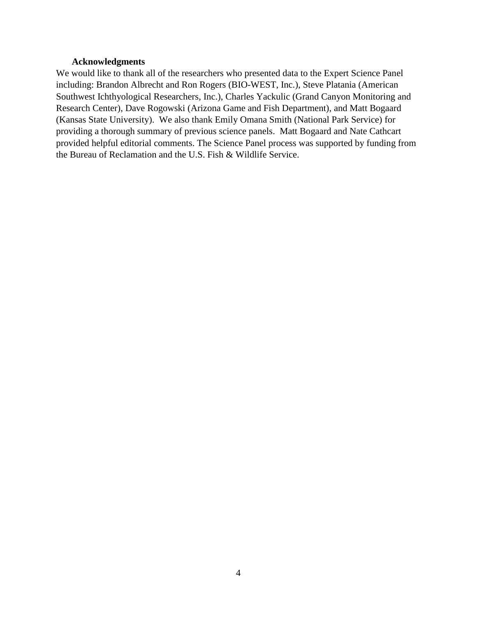#### **Acknowledgments**

<span id="page-5-0"></span>We would like to thank all of the researchers who presented data to the Expert Science Panel including: Brandon Albrecht and Ron Rogers (BIO-WEST, Inc.), Steve Platania (American Southwest Ichthyological Researchers, Inc.), Charles Yackulic (Grand Canyon Monitoring and Research Center), Dave Rogowski (Arizona Game and Fish Department), and Matt Bogaard (Kansas State University). We also thank Emily Omana Smith (National Park Service) for providing a thorough summary of previous science panels. Matt Bogaard and Nate Cathcart provided helpful editorial comments. The Science Panel process was supported by funding from the Bureau of Reclamation and the U.S. Fish & Wildlife Service.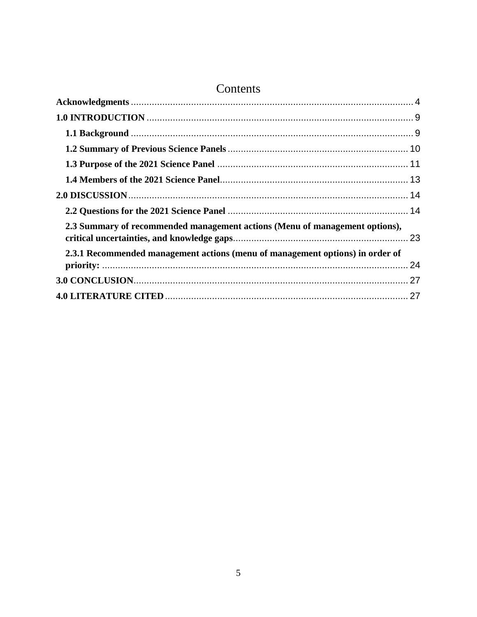## Contents

| 2.3 Summary of recommended management actions (Menu of management options),   |  |
|-------------------------------------------------------------------------------|--|
| 2.3.1 Recommended management actions (menu of management options) in order of |  |
|                                                                               |  |
|                                                                               |  |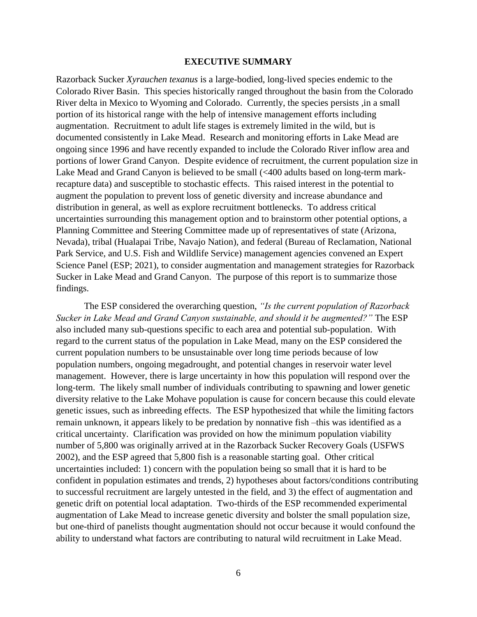#### **EXECUTIVE SUMMARY**

Razorback Sucker *Xyrauchen texanus* is a large-bodied, long-lived species endemic to the Colorado River Basin. This species historically ranged throughout the basin from the Colorado River delta in Mexico to Wyoming and Colorado. Currently, the species persists ,in a small portion of its historical range with the help of intensive management efforts including augmentation. Recruitment to adult life stages is extremely limited in the wild, but is documented consistently in Lake Mead. Research and monitoring efforts in Lake Mead are ongoing since 1996 and have recently expanded to include the Colorado River inflow area and portions of lower Grand Canyon. Despite evidence of recruitment, the current population size in Lake Mead and Grand Canyon is believed to be small (<400 adults based on long-term markrecapture data) and susceptible to stochastic effects. This raised interest in the potential to augment the population to prevent loss of genetic diversity and increase abundance and distribution in general, as well as explore recruitment bottlenecks. To address critical uncertainties surrounding this management option and to brainstorm other potential options, a Planning Committee and Steering Committee made up of representatives of state (Arizona, Nevada), tribal (Hualapai Tribe, Navajo Nation), and federal (Bureau of Reclamation, National Park Service, and U.S. Fish and Wildlife Service) management agencies convened an Expert Science Panel (ESP; 2021), to consider augmentation and management strategies for Razorback Sucker in Lake Mead and Grand Canyon. The purpose of this report is to summarize those findings.

The ESP considered the overarching question, *"Is the current population of Razorback Sucker in Lake Mead and Grand Canyon sustainable, and should it be augmented?"* The ESP also included many sub-questions specific to each area and potential sub-population. With regard to the current status of the population in Lake Mead, many on the ESP considered the current population numbers to be unsustainable over long time periods because of low population numbers, ongoing megadrought, and potential changes in reservoir water level management. However, there is large uncertainty in how this population will respond over the long-term. The likely small number of individuals contributing to spawning and lower genetic diversity relative to the Lake Mohave population is cause for concern because this could elevate genetic issues, such as inbreeding effects. The ESP hypothesized that while the limiting factors remain unknown, it appears likely to be predation by nonnative fish –this was identified as a critical uncertainty. Clarification was provided on how the minimum population viability number of 5,800 was originally arrived at in the Razorback Sucker Recovery Goals (USFWS 2002), and the ESP agreed that 5,800 fish is a reasonable starting goal. Other critical uncertainties included: 1) concern with the population being so small that it is hard to be confident in population estimates and trends, 2) hypotheses about factors/conditions contributing to successful recruitment are largely untested in the field, and 3) the effect of augmentation and genetic drift on potential local adaptation. Two-thirds of the ESP recommended experimental augmentation of Lake Mead to increase genetic diversity and bolster the small population size, but one-third of panelists thought augmentation should not occur because it would confound the ability to understand what factors are contributing to natural wild recruitment in Lake Mead.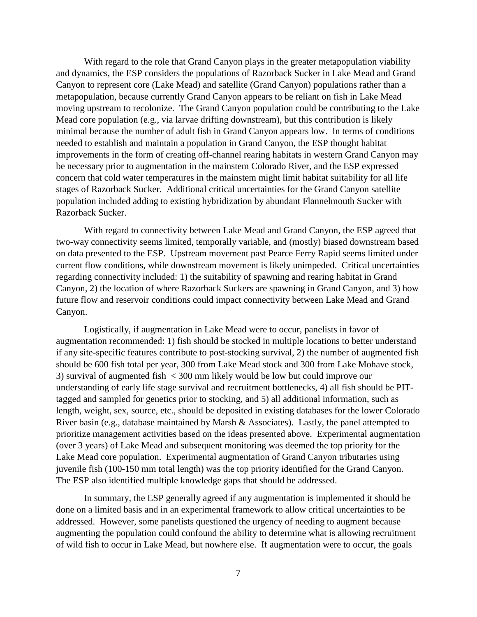With regard to the role that Grand Canyon plays in the greater metapopulation viability and dynamics, the ESP considers the populations of Razorback Sucker in Lake Mead and Grand Canyon to represent core (Lake Mead) and satellite (Grand Canyon) populations rather than a metapopulation, because currently Grand Canyon appears to be reliant on fish in Lake Mead moving upstream to recolonize. The Grand Canyon population could be contributing to the Lake Mead core population (e.g., via larvae drifting downstream), but this contribution is likely minimal because the number of adult fish in Grand Canyon appears low. In terms of conditions needed to establish and maintain a population in Grand Canyon, the ESP thought habitat improvements in the form of creating off-channel rearing habitats in western Grand Canyon may be necessary prior to augmentation in the mainstem Colorado River, and the ESP expressed concern that cold water temperatures in the mainstem might limit habitat suitability for all life stages of Razorback Sucker. Additional critical uncertainties for the Grand Canyon satellite population included adding to existing hybridization by abundant Flannelmouth Sucker with Razorback Sucker.

With regard to connectivity between Lake Mead and Grand Canyon, the ESP agreed that two-way connectivity seems limited, temporally variable, and (mostly) biased downstream based on data presented to the ESP. Upstream movement past Pearce Ferry Rapid seems limited under current flow conditions, while downstream movement is likely unimpeded. Critical uncertainties regarding connectivity included: 1) the suitability of spawning and rearing habitat in Grand Canyon, 2) the location of where Razorback Suckers are spawning in Grand Canyon, and 3) how future flow and reservoir conditions could impact connectivity between Lake Mead and Grand Canyon.

Logistically, if augmentation in Lake Mead were to occur, panelists in favor of augmentation recommended: 1) fish should be stocked in multiple locations to better understand if any site-specific features contribute to post-stocking survival, 2) the number of augmented fish should be 600 fish total per year, 300 from Lake Mead stock and 300 from Lake Mohave stock, 3) survival of augmented fish < 300 mm likely would be low but could improve our understanding of early life stage survival and recruitment bottlenecks, 4) all fish should be PITtagged and sampled for genetics prior to stocking, and 5) all additional information, such as length, weight, sex, source, etc., should be deposited in existing databases for the lower Colorado River basin (e.g., database maintained by Marsh & Associates). Lastly, the panel attempted to prioritize management activities based on the ideas presented above. Experimental augmentation (over 3 years) of Lake Mead and subsequent monitoring was deemed the top priority for the Lake Mead core population. Experimental augmentation of Grand Canyon tributaries using juvenile fish (100-150 mm total length) was the top priority identified for the Grand Canyon. The ESP also identified multiple knowledge gaps that should be addressed.

In summary, the ESP generally agreed if any augmentation is implemented it should be done on a limited basis and in an experimental framework to allow critical uncertainties to be addressed. However, some panelists questioned the urgency of needing to augment because augmenting the population could confound the ability to determine what is allowing recruitment of wild fish to occur in Lake Mead, but nowhere else. If augmentation were to occur, the goals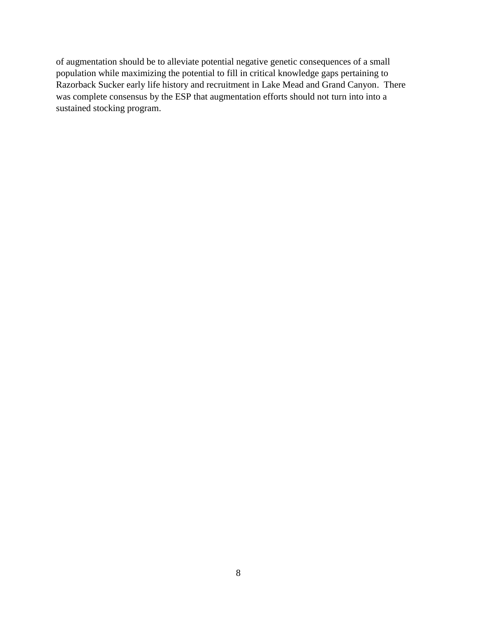of augmentation should be to alleviate potential negative genetic consequences of a small population while maximizing the potential to fill in critical knowledge gaps pertaining to Razorback Sucker early life history and recruitment in Lake Mead and Grand Canyon. There was complete consensus by the ESP that augmentation efforts should not turn into into a sustained stocking program.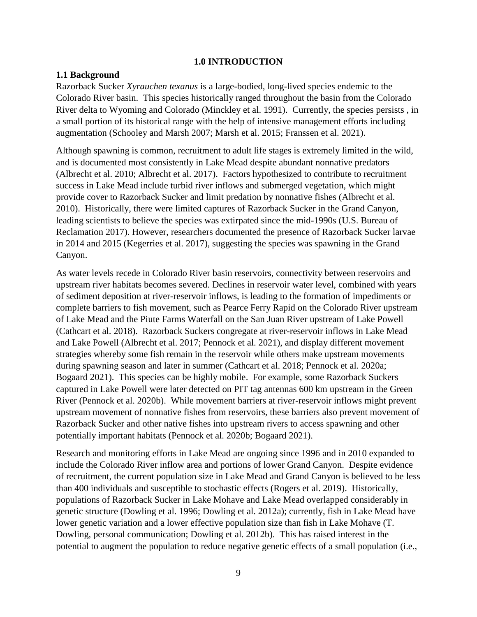#### **1.0 INTRODUCTION**

#### <span id="page-10-1"></span><span id="page-10-0"></span>**1.1 Background**

Razorback Sucker *Xyrauchen texanus* is a large-bodied, long-lived species endemic to the Colorado River basin. This species historically ranged throughout the basin from the Colorado River delta to Wyoming and Colorado (Minckley et al. 1991). Currently, the species persists , in a small portion of its historical range with the help of intensive management efforts including augmentation (Schooley and Marsh 2007; Marsh et al. 2015; Franssen et al. 2021).

Although spawning is common, recruitment to adult life stages is extremely limited in the wild, and is documented most consistently in Lake Mead despite abundant nonnative predators (Albrecht et al. 2010; Albrecht et al. 2017). Factors hypothesized to contribute to recruitment success in Lake Mead include turbid river inflows and submerged vegetation, which might provide cover to Razorback Sucker and limit predation by nonnative fishes (Albrecht et al. 2010). Historically, there were limited captures of Razorback Sucker in the Grand Canyon, leading scientists to believe the species was extirpated since the mid-1990s (U.S. Bureau of Reclamation 2017). However, researchers documented the presence of Razorback Sucker larvae in 2014 and 2015 (Kegerries et al. 2017), suggesting the species was spawning in the Grand Canyon.

As water levels recede in Colorado River basin reservoirs, connectivity between reservoirs and upstream river habitats becomes severed. Declines in reservoir water level, combined with years of sediment deposition at river-reservoir inflows, is leading to the formation of impediments or complete barriers to fish movement, such as Pearce Ferry Rapid on the Colorado River upstream of Lake Mead and the Piute Farms Waterfall on the San Juan River upstream of Lake Powell (Cathcart et al. 2018). Razorback Suckers congregate at river-reservoir inflows in Lake Mead and Lake Powell (Albrecht et al. 2017; Pennock et al. 2021), and display different movement strategies whereby some fish remain in the reservoir while others make upstream movements during spawning season and later in summer (Cathcart et al. 2018; Pennock et al. 2020a; Bogaard 2021). This species can be highly mobile. For example, some Razorback Suckers captured in Lake Powell were later detected on PIT tag antennas 600 km upstream in the Green River (Pennock et al. 2020b). While movement barriers at river-reservoir inflows might prevent upstream movement of nonnative fishes from reservoirs, these barriers also prevent movement of Razorback Sucker and other native fishes into upstream rivers to access spawning and other potentially important habitats (Pennock et al. 2020b; Bogaard 2021).

Research and monitoring efforts in Lake Mead are ongoing since 1996 and in 2010 expanded to include the Colorado River inflow area and portions of lower Grand Canyon. Despite evidence of recruitment, the current population size in Lake Mead and Grand Canyon is believed to be less than 400 individuals and susceptible to stochastic effects (Rogers et al. 2019). Historically, populations of Razorback Sucker in Lake Mohave and Lake Mead overlapped considerably in genetic structure (Dowling et al. 1996; Dowling et al. 2012a); currently, fish in Lake Mead have lower genetic variation and a lower effective population size than fish in Lake Mohave (T. Dowling, personal communication; Dowling et al. 2012b). This has raised interest in the potential to augment the population to reduce negative genetic effects of a small population (i.e.,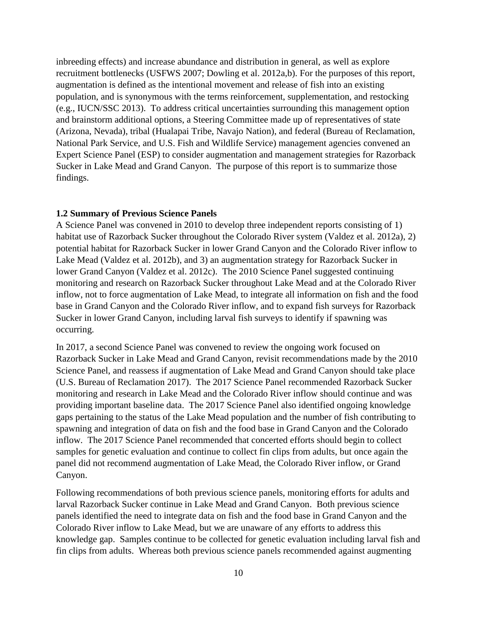inbreeding effects) and increase abundance and distribution in general, as well as explore recruitment bottlenecks (USFWS 2007; Dowling et al. 2012a,b). For the purposes of this report, augmentation is defined as the intentional movement and release of fish into an existing population, and is synonymous with the terms reinforcement, supplementation, and restocking (e.g., IUCN/SSC 2013). To address critical uncertainties surrounding this management option and brainstorm additional options, a Steering Committee made up of representatives of state (Arizona, Nevada), tribal (Hualapai Tribe, Navajo Nation), and federal (Bureau of Reclamation, National Park Service, and U.S. Fish and Wildlife Service) management agencies convened an Expert Science Panel (ESP) to consider augmentation and management strategies for Razorback Sucker in Lake Mead and Grand Canyon. The purpose of this report is to summarize those findings.

#### <span id="page-11-0"></span>**1.2 Summary of Previous Science Panels**

A Science Panel was convened in 2010 to develop three independent reports consisting of 1) habitat use of Razorback Sucker throughout the Colorado River system (Valdez et al. 2012a), 2) potential habitat for Razorback Sucker in lower Grand Canyon and the Colorado River inflow to Lake Mead (Valdez et al. 2012b), and 3) an augmentation strategy for Razorback Sucker in lower Grand Canyon (Valdez et al. 2012c). The 2010 Science Panel suggested continuing monitoring and research on Razorback Sucker throughout Lake Mead and at the Colorado River inflow, not to force augmentation of Lake Mead, to integrate all information on fish and the food base in Grand Canyon and the Colorado River inflow, and to expand fish surveys for Razorback Sucker in lower Grand Canyon, including larval fish surveys to identify if spawning was occurring.

In 2017, a second Science Panel was convened to review the ongoing work focused on Razorback Sucker in Lake Mead and Grand Canyon, revisit recommendations made by the 2010 Science Panel, and reassess if augmentation of Lake Mead and Grand Canyon should take place (U.S. Bureau of Reclamation 2017). The 2017 Science Panel recommended Razorback Sucker monitoring and research in Lake Mead and the Colorado River inflow should continue and was providing important baseline data. The 2017 Science Panel also identified ongoing knowledge gaps pertaining to the status of the Lake Mead population and the number of fish contributing to spawning and integration of data on fish and the food base in Grand Canyon and the Colorado inflow. The 2017 Science Panel recommended that concerted efforts should begin to collect samples for genetic evaluation and continue to collect fin clips from adults, but once again the panel did not recommend augmentation of Lake Mead, the Colorado River inflow, or Grand Canyon.

Following recommendations of both previous science panels, monitoring efforts for adults and larval Razorback Sucker continue in Lake Mead and Grand Canyon. Both previous science panels identified the need to integrate data on fish and the food base in Grand Canyon and the Colorado River inflow to Lake Mead, but we are unaware of any efforts to address this knowledge gap. Samples continue to be collected for genetic evaluation including larval fish and fin clips from adults. Whereas both previous science panels recommended against augmenting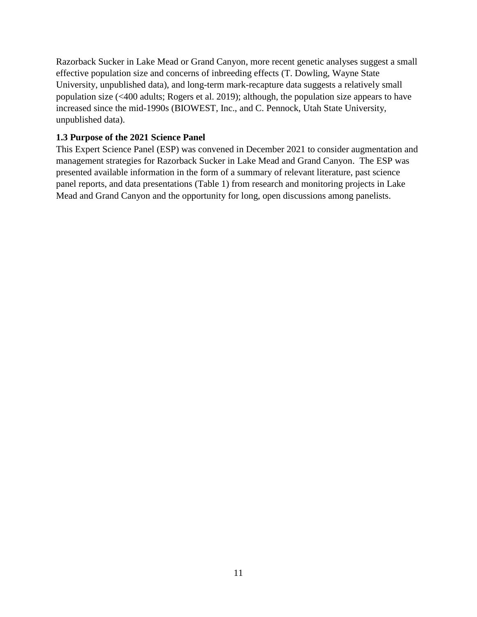Razorback Sucker in Lake Mead or Grand Canyon, more recent genetic analyses suggest a small effective population size and concerns of inbreeding effects (T. Dowling, Wayne State University, unpublished data), and long-term mark-recapture data suggests a relatively small population size (<400 adults; Rogers et al. 2019); although, the population size appears to have increased since the mid-1990s (BIOWEST, Inc., and C. Pennock, Utah State University, unpublished data).

#### <span id="page-12-0"></span>**1.3 Purpose of the 2021 Science Panel**

This Expert Science Panel (ESP) was convened in December 2021 to consider augmentation and management strategies for Razorback Sucker in Lake Mead and Grand Canyon. The ESP was presented available information in the form of a summary of relevant literature, past science panel reports, and data presentations (Table 1) from research and monitoring projects in Lake Mead and Grand Canyon and the opportunity for long, open discussions among panelists.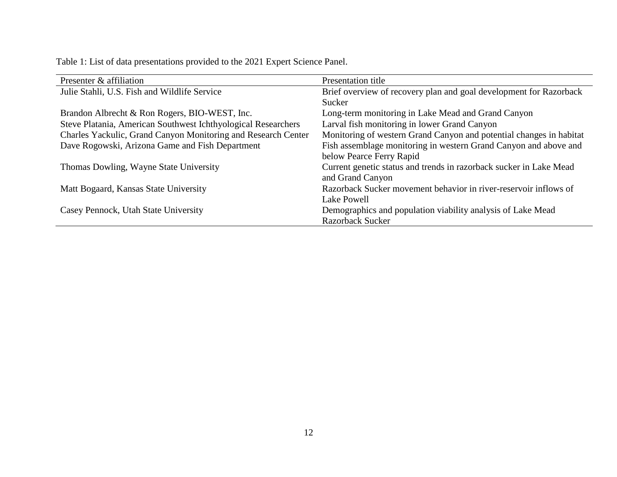| Table 1: List of data presentations provided to the 2021 Expert Science Panel. |  |  |  |  |
|--------------------------------------------------------------------------------|--|--|--|--|
|--------------------------------------------------------------------------------|--|--|--|--|

| Presenter & affiliation                                       | Presentation title                                                  |
|---------------------------------------------------------------|---------------------------------------------------------------------|
| Julie Stahli, U.S. Fish and Wildlife Service                  | Brief overview of recovery plan and goal development for Razorback  |
|                                                               | Sucker                                                              |
| Brandon Albrecht & Ron Rogers, BIO-WEST, Inc.                 | Long-term monitoring in Lake Mead and Grand Canyon                  |
| Steve Platania, American Southwest Ichthyological Researchers | Larval fish monitoring in lower Grand Canyon                        |
| Charles Yackulic, Grand Canyon Monitoring and Research Center | Monitoring of western Grand Canyon and potential changes in habitat |
| Dave Rogowski, Arizona Game and Fish Department               | Fish assemblage monitoring in western Grand Canyon and above and    |
|                                                               | below Pearce Ferry Rapid                                            |
| Thomas Dowling, Wayne State University                        | Current genetic status and trends in razorback sucker in Lake Mead  |
|                                                               | and Grand Canyon                                                    |
| Matt Bogaard, Kansas State University                         | Razorback Sucker movement behavior in river-reservoir inflows of    |
|                                                               | Lake Powell                                                         |
| Casey Pennock, Utah State University                          | Demographics and population viability analysis of Lake Mead         |
|                                                               | <b>Razorback Sucker</b>                                             |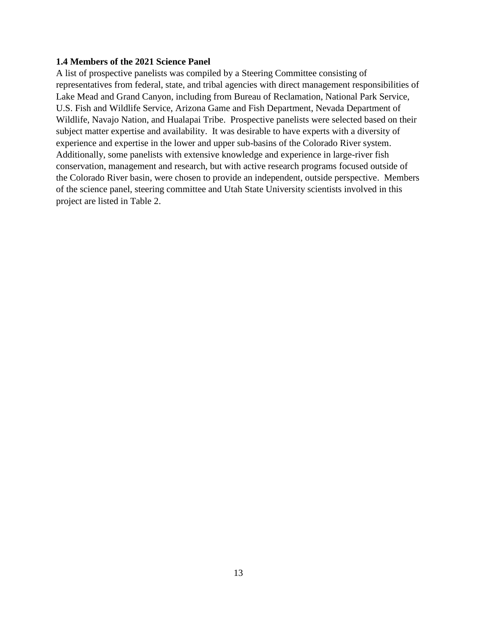#### <span id="page-14-0"></span>**1.4 Members of the 2021 Science Panel**

A list of prospective panelists was compiled by a Steering Committee consisting of representatives from federal, state, and tribal agencies with direct management responsibilities of Lake Mead and Grand Canyon, including from Bureau of Reclamation, National Park Service, U.S. Fish and Wildlife Service, Arizona Game and Fish Department, Nevada Department of Wildlife, Navajo Nation, and Hualapai Tribe. Prospective panelists were selected based on their subject matter expertise and availability. It was desirable to have experts with a diversity of experience and expertise in the lower and upper sub-basins of the Colorado River system. Additionally, some panelists with extensive knowledge and experience in large-river fish conservation, management and research, but with active research programs focused outside of the Colorado River basin, were chosen to provide an independent, outside perspective. Members of the science panel, steering committee and Utah State University scientists involved in this project are listed in Table 2.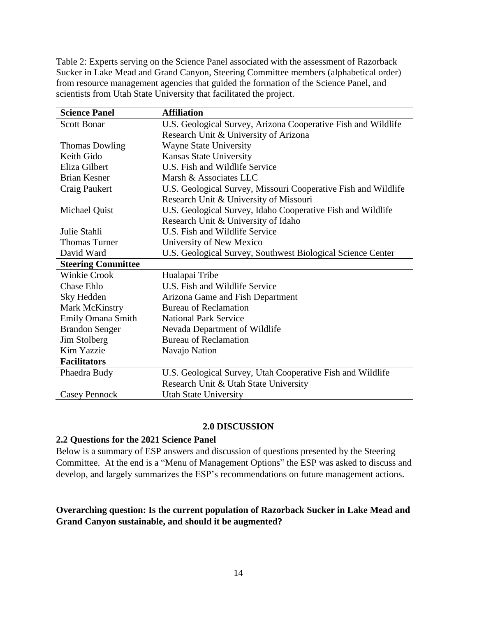Table 2: Experts serving on the Science Panel associated with the assessment of Razorback Sucker in Lake Mead and Grand Canyon, Steering Committee members (alphabetical order) from resource management agencies that guided the formation of the Science Panel, and scientists from Utah State University that facilitated the project.

| <b>Science Panel</b>      | <b>Affiliation</b>                                             |
|---------------------------|----------------------------------------------------------------|
| <b>Scott Bonar</b>        | U.S. Geological Survey, Arizona Cooperative Fish and Wildlife  |
|                           | Research Unit & University of Arizona                          |
| <b>Thomas Dowling</b>     | <b>Wayne State University</b>                                  |
| Keith Gido                | Kansas State University                                        |
| Eliza Gilbert             | U.S. Fish and Wildlife Service                                 |
| <b>Brian Kesner</b>       | Marsh & Associates LLC                                         |
| Craig Paukert             | U.S. Geological Survey, Missouri Cooperative Fish and Wildlife |
|                           | Research Unit & University of Missouri                         |
| Michael Quist             | U.S. Geological Survey, Idaho Cooperative Fish and Wildlife    |
|                           | Research Unit & University of Idaho                            |
| Julie Stahli              | U.S. Fish and Wildlife Service                                 |
| <b>Thomas Turner</b>      | University of New Mexico                                       |
| David Ward                | U.S. Geological Survey, Southwest Biological Science Center    |
| <b>Steering Committee</b> |                                                                |
| <b>Winkie Crook</b>       | Hualapai Tribe                                                 |
| <b>Chase Ehlo</b>         | U.S. Fish and Wildlife Service                                 |
| Sky Hedden                | Arizona Game and Fish Department                               |
| Mark McKinstry            | <b>Bureau of Reclamation</b>                                   |
| Emily Omana Smith         | <b>National Park Service</b>                                   |
| <b>Brandon Senger</b>     | Nevada Department of Wildlife                                  |
| Jim Stolberg              | <b>Bureau of Reclamation</b>                                   |
| Kim Yazzie                | Navajo Nation                                                  |
| <b>Facilitators</b>       |                                                                |
| Phaedra Budy              | U.S. Geological Survey, Utah Cooperative Fish and Wildlife     |
|                           | Research Unit & Utah State University                          |
| Casey Pennock             | <b>Utah State University</b>                                   |

#### **2.0 DISCUSSION**

#### <span id="page-15-1"></span><span id="page-15-0"></span>**2.2 Questions for the 2021 Science Panel**

Below is a summary of ESP answers and discussion of questions presented by the Steering Committee. At the end is a "Menu of Management Options" the ESP was asked to discuss and develop, and largely summarizes the ESP's recommendations on future management actions.

#### **Overarching question: Is the current population of Razorback Sucker in Lake Mead and Grand Canyon sustainable, and should it be augmented?**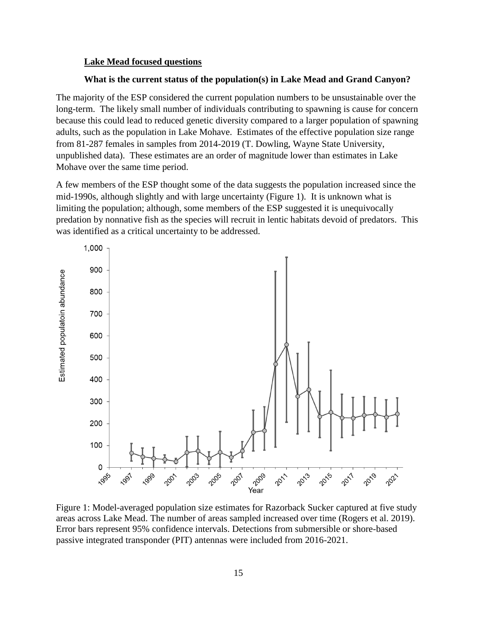#### **Lake Mead focused questions**

#### **What is the current status of the population(s) in Lake Mead and Grand Canyon?**

The majority of the ESP considered the current population numbers to be unsustainable over the long-term. The likely small number of individuals contributing to spawning is cause for concern because this could lead to reduced genetic diversity compared to a larger population of spawning adults, such as the population in Lake Mohave. Estimates of the effective population size range from 81-287 females in samples from 2014-2019 (T. Dowling, Wayne State University, unpublished data). These estimates are an order of magnitude lower than estimates in Lake Mohave over the same time period.

A few members of the ESP thought some of the data suggests the population increased since the mid-1990s, although slightly and with large uncertainty (Figure 1). It is unknown what is limiting the population; although, some members of the ESP suggested it is unequivocally predation by nonnative fish as the species will recruit in lentic habitats devoid of predators. This was identified as a critical uncertainty to be addressed.



Figure 1: Model-averaged population size estimates for Razorback Sucker captured at five study areas across Lake Mead. The number of areas sampled increased over time (Rogers et al. 2019). Error bars represent 95% confidence intervals. Detections from submersible or shore-based passive integrated transponder (PIT) antennas were included from 2016-2021.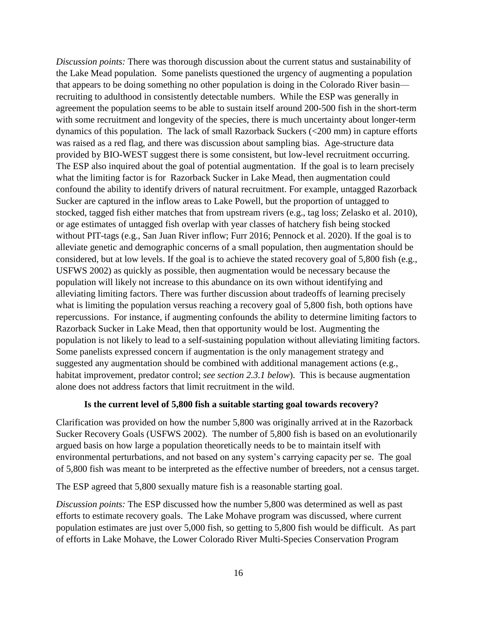*Discussion points:* There was thorough discussion about the current status and sustainability of the Lake Mead population. Some panelists questioned the urgency of augmenting a population that appears to be doing something no other population is doing in the Colorado River basin recruiting to adulthood in consistently detectable numbers. While the ESP was generally in agreement the population seems to be able to sustain itself around 200-500 fish in the short-term with some recruitment and longevity of the species, there is much uncertainty about longer-term dynamics of this population. The lack of small Razorback Suckers (<200 mm) in capture efforts was raised as a red flag, and there was discussion about sampling bias. Age-structure data provided by BIO-WEST suggest there is some consistent, but low-level recruitment occurring. The ESP also inquired about the goal of potential augmentation. If the goal is to learn precisely what the limiting factor is for Razorback Sucker in Lake Mead, then augmentation could confound the ability to identify drivers of natural recruitment. For example, untagged Razorback Sucker are captured in the inflow areas to Lake Powell, but the proportion of untagged to stocked, tagged fish either matches that from upstream rivers (e.g., tag loss; Zelasko et al. 2010), or age estimates of untagged fish overlap with year classes of hatchery fish being stocked without PIT-tags (e.g., San Juan River inflow; Furr 2016; Pennock et al. 2020). If the goal is to alleviate genetic and demographic concerns of a small population, then augmentation should be considered, but at low levels. If the goal is to achieve the stated recovery goal of 5,800 fish (e.g., USFWS 2002) as quickly as possible, then augmentation would be necessary because the population will likely not increase to this abundance on its own without identifying and alleviating limiting factors. There was further discussion about tradeoffs of learning precisely what is limiting the population versus reaching a recovery goal of 5,800 fish, both options have repercussions. For instance, if augmenting confounds the ability to determine limiting factors to Razorback Sucker in Lake Mead, then that opportunity would be lost. Augmenting the population is not likely to lead to a self-sustaining population without alleviating limiting factors. Some panelists expressed concern if augmentation is the only management strategy and suggested any augmentation should be combined with additional management actions (e.g., habitat improvement, predator control; *see section 2.3.1 below*). This is because augmentation alone does not address factors that limit recruitment in the wild.

#### **Is the current level of 5,800 fish a suitable starting goal towards recovery?**

Clarification was provided on how the number 5,800 was originally arrived at in the Razorback Sucker Recovery Goals (USFWS 2002). The number of 5,800 fish is based on an evolutionarily argued basis on how large a population theoretically needs to be to maintain itself with environmental perturbations, and not based on any system's carrying capacity per se. The goal of 5,800 fish was meant to be interpreted as the effective number of breeders, not a census target.

The ESP agreed that 5,800 sexually mature fish is a reasonable starting goal.

*Discussion points:* The ESP discussed how the number 5,800 was determined as well as past efforts to estimate recovery goals. The Lake Mohave program was discussed, where current population estimates are just over 5,000 fish, so getting to 5,800 fish would be difficult. As part of efforts in Lake Mohave, the Lower Colorado River Multi-Species Conservation Program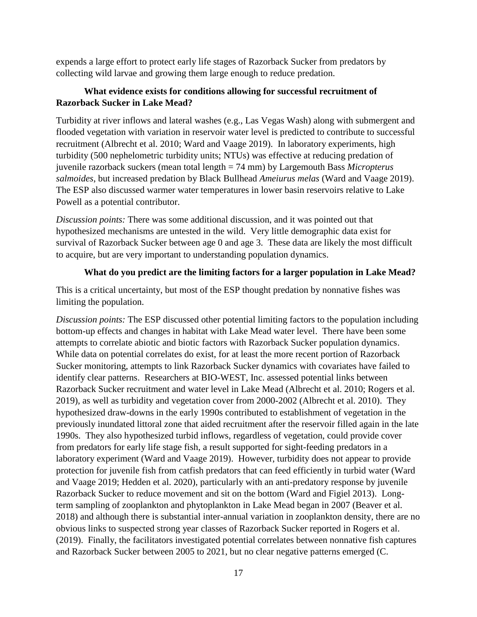expends a large effort to protect early life stages of Razorback Sucker from predators by collecting wild larvae and growing them large enough to reduce predation.

## **What evidence exists for conditions allowing for successful recruitment of Razorback Sucker in Lake Mead?**

Turbidity at river inflows and lateral washes (e.g., Las Vegas Wash) along with submergent and flooded vegetation with variation in reservoir water level is predicted to contribute to successful recruitment (Albrecht et al. 2010; Ward and Vaage 2019). In laboratory experiments, high turbidity (500 nephelometric turbidity units; NTUs) was effective at reducing predation of juvenile razorback suckers (mean total length = 74 mm) by Largemouth Bass *Micropterus salmoides*, but increased predation by Black Bullhead *Ameiurus melas* (Ward and Vaage 2019). The ESP also discussed warmer water temperatures in lower basin reservoirs relative to Lake Powell as a potential contributor.

*Discussion points:* There was some additional discussion, and it was pointed out that hypothesized mechanisms are untested in the wild. Very little demographic data exist for survival of Razorback Sucker between age 0 and age 3. These data are likely the most difficult to acquire, but are very important to understanding population dynamics.

## **What do you predict are the limiting factors for a larger population in Lake Mead?**

This is a critical uncertainty, but most of the ESP thought predation by nonnative fishes was limiting the population.

*Discussion points:* The ESP discussed other potential limiting factors to the population including bottom-up effects and changes in habitat with Lake Mead water level. There have been some attempts to correlate abiotic and biotic factors with Razorback Sucker population dynamics. While data on potential correlates do exist, for at least the more recent portion of Razorback Sucker monitoring, attempts to link Razorback Sucker dynamics with covariates have failed to identify clear patterns. Researchers at BIO-WEST, Inc. assessed potential links between Razorback Sucker recruitment and water level in Lake Mead (Albrecht et al. 2010; Rogers et al. 2019), as well as turbidity and vegetation cover from 2000-2002 (Albrecht et al. 2010). They hypothesized draw-downs in the early 1990s contributed to establishment of vegetation in the previously inundated littoral zone that aided recruitment after the reservoir filled again in the late 1990s. They also hypothesized turbid inflows, regardless of vegetation, could provide cover from predators for early life stage fish, a result supported for sight-feeding predators in a laboratory experiment (Ward and Vaage 2019). However, turbidity does not appear to provide protection for juvenile fish from catfish predators that can feed efficiently in turbid water (Ward and Vaage 2019; Hedden et al. 2020), particularly with an anti-predatory response by juvenile Razorback Sucker to reduce movement and sit on the bottom (Ward and Figiel 2013). Longterm sampling of zooplankton and phytoplankton in Lake Mead began in 2007 (Beaver et al. 2018) and although there is substantial inter-annual variation in zooplankton density, there are no obvious links to suspected strong year classes of Razorback Sucker reported in Rogers et al. (2019). Finally, the facilitators investigated potential correlates between nonnative fish captures and Razorback Sucker between 2005 to 2021, but no clear negative patterns emerged (C.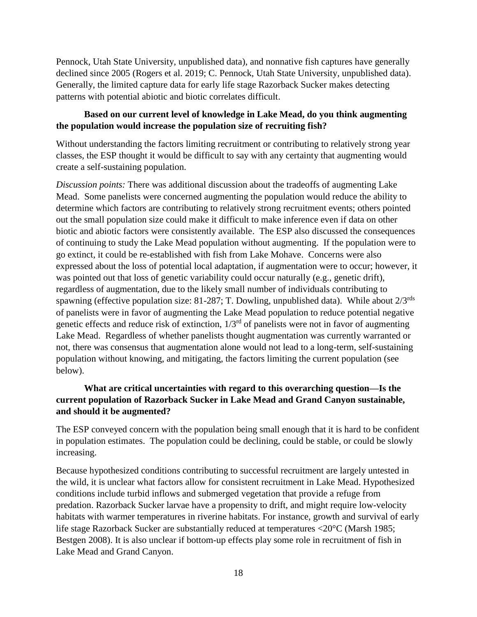Pennock, Utah State University, unpublished data), and nonnative fish captures have generally declined since 2005 (Rogers et al. 2019; C. Pennock, Utah State University, unpublished data). Generally, the limited capture data for early life stage Razorback Sucker makes detecting patterns with potential abiotic and biotic correlates difficult.

## **Based on our current level of knowledge in Lake Mead, do you think augmenting the population would increase the population size of recruiting fish?**

Without understanding the factors limiting recruitment or contributing to relatively strong year classes, the ESP thought it would be difficult to say with any certainty that augmenting would create a self-sustaining population.

*Discussion points:* There was additional discussion about the tradeoffs of augmenting Lake Mead. Some panelists were concerned augmenting the population would reduce the ability to determine which factors are contributing to relatively strong recruitment events; others pointed out the small population size could make it difficult to make inference even if data on other biotic and abiotic factors were consistently available. The ESP also discussed the consequences of continuing to study the Lake Mead population without augmenting. If the population were to go extinct, it could be re-established with fish from Lake Mohave. Concerns were also expressed about the loss of potential local adaptation, if augmentation were to occur; however, it was pointed out that loss of genetic variability could occur naturally (e.g., genetic drift), regardless of augmentation, due to the likely small number of individuals contributing to spawning (effective population size: 81-287; T. Dowling, unpublished data). While about  $2/3^{rds}$ of panelists were in favor of augmenting the Lake Mead population to reduce potential negative genetic effects and reduce risk of extinction,  $1/3<sup>rd</sup>$  of panelists were not in favor of augmenting Lake Mead. Regardless of whether panelists thought augmentation was currently warranted or not, there was consensus that augmentation alone would not lead to a long-term, self-sustaining population without knowing, and mitigating, the factors limiting the current population (see below).

## **What are critical uncertainties with regard to this overarching question—Is the current population of Razorback Sucker in Lake Mead and Grand Canyon sustainable, and should it be augmented?**

The ESP conveyed concern with the population being small enough that it is hard to be confident in population estimates. The population could be declining, could be stable, or could be slowly increasing.

Because hypothesized conditions contributing to successful recruitment are largely untested in the wild, it is unclear what factors allow for consistent recruitment in Lake Mead. Hypothesized conditions include turbid inflows and submerged vegetation that provide a refuge from predation. Razorback Sucker larvae have a propensity to drift, and might require low-velocity habitats with warmer temperatures in riverine habitats. For instance, growth and survival of early life stage Razorback Sucker are substantially reduced at temperatures <20°C (Marsh 1985; Bestgen 2008). It is also unclear if bottom-up effects play some role in recruitment of fish in Lake Mead and Grand Canyon.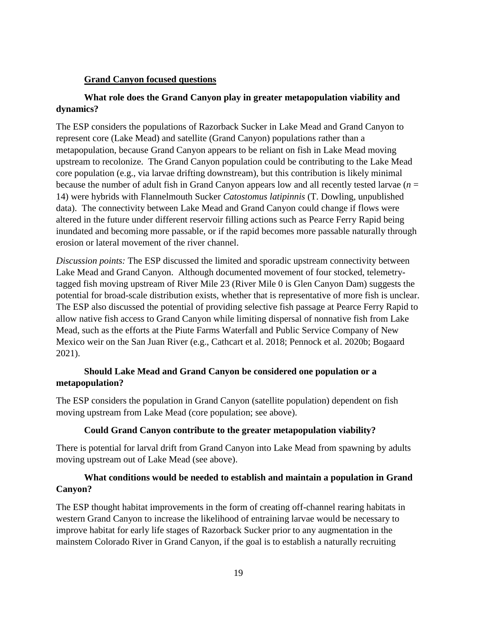#### **Grand Canyon focused questions**

## **What role does the Grand Canyon play in greater metapopulation viability and dynamics?**

The ESP considers the populations of Razorback Sucker in Lake Mead and Grand Canyon to represent core (Lake Mead) and satellite (Grand Canyon) populations rather than a metapopulation, because Grand Canyon appears to be reliant on fish in Lake Mead moving upstream to recolonize. The Grand Canyon population could be contributing to the Lake Mead core population (e.g., via larvae drifting downstream), but this contribution is likely minimal because the number of adult fish in Grand Canyon appears low and all recently tested larvae  $(n =$ 14) were hybrids with Flannelmouth Sucker *Catostomus latipinnis* (T. Dowling, unpublished data). The connectivity between Lake Mead and Grand Canyon could change if flows were altered in the future under different reservoir filling actions such as Pearce Ferry Rapid being inundated and becoming more passable, or if the rapid becomes more passable naturally through erosion or lateral movement of the river channel.

*Discussion points:* The ESP discussed the limited and sporadic upstream connectivity between Lake Mead and Grand Canyon. Although documented movement of four stocked, telemetrytagged fish moving upstream of River Mile 23 (River Mile 0 is Glen Canyon Dam) suggests the potential for broad-scale distribution exists, whether that is representative of more fish is unclear. The ESP also discussed the potential of providing selective fish passage at Pearce Ferry Rapid to allow native fish access to Grand Canyon while limiting dispersal of nonnative fish from Lake Mead, such as the efforts at the Piute Farms Waterfall and Public Service Company of New Mexico weir on the San Juan River (e.g., Cathcart et al. 2018; Pennock et al. 2020b; Bogaard 2021).

## **Should Lake Mead and Grand Canyon be considered one population or a metapopulation?**

The ESP considers the population in Grand Canyon (satellite population) dependent on fish moving upstream from Lake Mead (core population; see above).

## **Could Grand Canyon contribute to the greater metapopulation viability?**

There is potential for larval drift from Grand Canyon into Lake Mead from spawning by adults moving upstream out of Lake Mead (see above).

## **What conditions would be needed to establish and maintain a population in Grand Canyon?**

The ESP thought habitat improvements in the form of creating off-channel rearing habitats in western Grand Canyon to increase the likelihood of entraining larvae would be necessary to improve habitat for early life stages of Razorback Sucker prior to any augmentation in the mainstem Colorado River in Grand Canyon, if the goal is to establish a naturally recruiting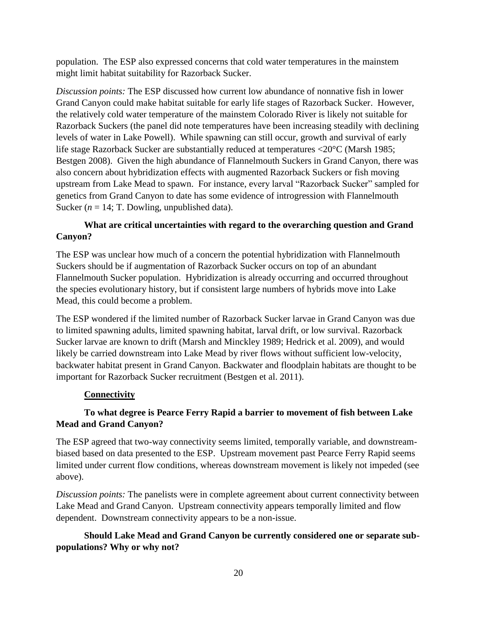population. The ESP also expressed concerns that cold water temperatures in the mainstem might limit habitat suitability for Razorback Sucker.

*Discussion points:* The ESP discussed how current low abundance of nonnative fish in lower Grand Canyon could make habitat suitable for early life stages of Razorback Sucker. However, the relatively cold water temperature of the mainstem Colorado River is likely not suitable for Razorback Suckers (the panel did note temperatures have been increasing steadily with declining levels of water in Lake Powell). While spawning can still occur, growth and survival of early life stage Razorback Sucker are substantially reduced at temperatures <20°C (Marsh 1985; Bestgen 2008). Given the high abundance of Flannelmouth Suckers in Grand Canyon, there was also concern about hybridization effects with augmented Razorback Suckers or fish moving upstream from Lake Mead to spawn. For instance, every larval "Razorback Sucker" sampled for genetics from Grand Canyon to date has some evidence of introgression with Flannelmouth Sucker ( $n = 14$ ; T. Dowling, unpublished data).

## **What are critical uncertainties with regard to the overarching question and Grand Canyon?**

The ESP was unclear how much of a concern the potential hybridization with Flannelmouth Suckers should be if augmentation of Razorback Sucker occurs on top of an abundant Flannelmouth Sucker population. Hybridization is already occurring and occurred throughout the species evolutionary history, but if consistent large numbers of hybrids move into Lake Mead, this could become a problem.

The ESP wondered if the limited number of Razorback Sucker larvae in Grand Canyon was due to limited spawning adults, limited spawning habitat, larval drift, or low survival. Razorback Sucker larvae are known to drift (Marsh and Minckley 1989; Hedrick et al. 2009), and would likely be carried downstream into Lake Mead by river flows without sufficient low-velocity, backwater habitat present in Grand Canyon. Backwater and floodplain habitats are thought to be important for Razorback Sucker recruitment (Bestgen et al. 2011).

## **Connectivity**

## **To what degree is Pearce Ferry Rapid a barrier to movement of fish between Lake Mead and Grand Canyon?**

The ESP agreed that two-way connectivity seems limited, temporally variable, and downstreambiased based on data presented to the ESP. Upstream movement past Pearce Ferry Rapid seems limited under current flow conditions, whereas downstream movement is likely not impeded (see above).

*Discussion points:* The panelists were in complete agreement about current connectivity between Lake Mead and Grand Canyon. Upstream connectivity appears temporally limited and flow dependent. Downstream connectivity appears to be a non-issue.

## **Should Lake Mead and Grand Canyon be currently considered one or separate subpopulations? Why or why not?**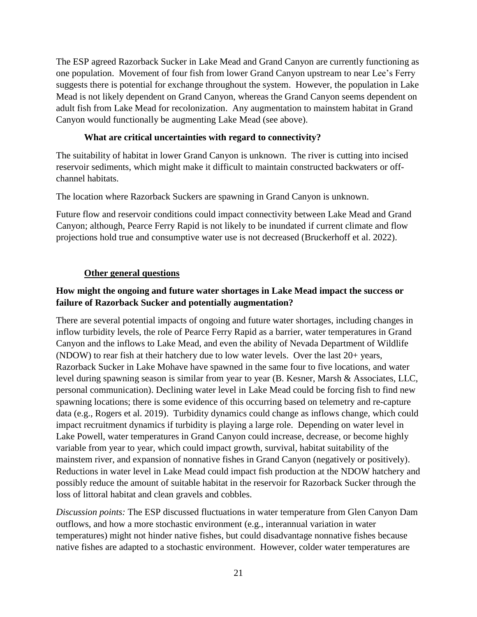The ESP agreed Razorback Sucker in Lake Mead and Grand Canyon are currently functioning as one population. Movement of four fish from lower Grand Canyon upstream to near Lee's Ferry suggests there is potential for exchange throughout the system. However, the population in Lake Mead is not likely dependent on Grand Canyon, whereas the Grand Canyon seems dependent on adult fish from Lake Mead for recolonization. Any augmentation to mainstem habitat in Grand Canyon would functionally be augmenting Lake Mead (see above).

#### **What are critical uncertainties with regard to connectivity?**

The suitability of habitat in lower Grand Canyon is unknown. The river is cutting into incised reservoir sediments, which might make it difficult to maintain constructed backwaters or offchannel habitats.

The location where Razorback Suckers are spawning in Grand Canyon is unknown.

Future flow and reservoir conditions could impact connectivity between Lake Mead and Grand Canyon; although, Pearce Ferry Rapid is not likely to be inundated if current climate and flow projections hold true and consumptive water use is not decreased (Bruckerhoff et al. 2022).

#### **Other general questions**

#### **How might the ongoing and future water shortages in Lake Mead impact the success or failure of Razorback Sucker and potentially augmentation?**

There are several potential impacts of ongoing and future water shortages, including changes in inflow turbidity levels, the role of Pearce Ferry Rapid as a barrier, water temperatures in Grand Canyon and the inflows to Lake Mead, and even the ability of Nevada Department of Wildlife (NDOW) to rear fish at their hatchery due to low water levels. Over the last 20+ years, Razorback Sucker in Lake Mohave have spawned in the same four to five locations, and water level during spawning season is similar from year to year (B. Kesner, Marsh & Associates, LLC, personal communication). Declining water level in Lake Mead could be forcing fish to find new spawning locations; there is some evidence of this occurring based on telemetry and re-capture data (e.g., Rogers et al. 2019). Turbidity dynamics could change as inflows change, which could impact recruitment dynamics if turbidity is playing a large role. Depending on water level in Lake Powell, water temperatures in Grand Canyon could increase, decrease, or become highly variable from year to year, which could impact growth, survival, habitat suitability of the mainstem river, and expansion of nonnative fishes in Grand Canyon (negatively or positively). Reductions in water level in Lake Mead could impact fish production at the NDOW hatchery and possibly reduce the amount of suitable habitat in the reservoir for Razorback Sucker through the loss of littoral habitat and clean gravels and cobbles.

*Discussion points:* The ESP discussed fluctuations in water temperature from Glen Canyon Dam outflows, and how a more stochastic environment (e.g., interannual variation in water temperatures) might not hinder native fishes, but could disadvantage nonnative fishes because native fishes are adapted to a stochastic environment. However, colder water temperatures are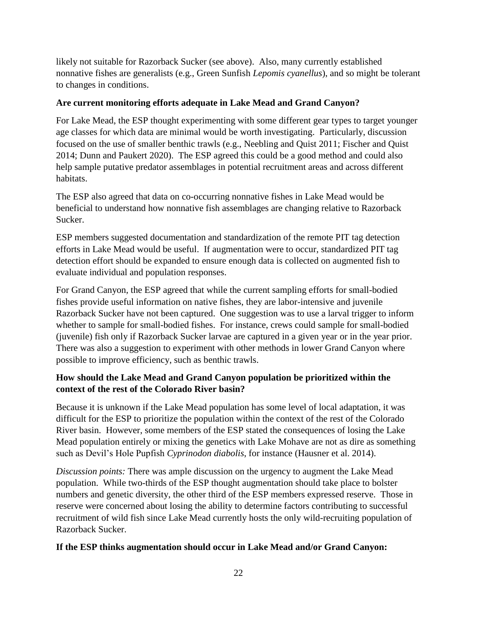likely not suitable for Razorback Sucker (see above). Also, many currently established nonnative fishes are generalists (e.g., Green Sunfish *Lepomis cyanellus*), and so might be tolerant to changes in conditions.

#### **Are current monitoring efforts adequate in Lake Mead and Grand Canyon?**

For Lake Mead, the ESP thought experimenting with some different gear types to target younger age classes for which data are minimal would be worth investigating. Particularly, discussion focused on the use of smaller benthic trawls (e.g., Neebling and Quist 2011; Fischer and Quist 2014; Dunn and Paukert 2020). The ESP agreed this could be a good method and could also help sample putative predator assemblages in potential recruitment areas and across different habitats.

The ESP also agreed that data on co-occurring nonnative fishes in Lake Mead would be beneficial to understand how nonnative fish assemblages are changing relative to Razorback Sucker.

ESP members suggested documentation and standardization of the remote PIT tag detection efforts in Lake Mead would be useful. If augmentation were to occur, standardized PIT tag detection effort should be expanded to ensure enough data is collected on augmented fish to evaluate individual and population responses.

For Grand Canyon, the ESP agreed that while the current sampling efforts for small-bodied fishes provide useful information on native fishes, they are labor-intensive and juvenile Razorback Sucker have not been captured. One suggestion was to use a larval trigger to inform whether to sample for small-bodied fishes. For instance, crews could sample for small-bodied (juvenile) fish only if Razorback Sucker larvae are captured in a given year or in the year prior. There was also a suggestion to experiment with other methods in lower Grand Canyon where possible to improve efficiency, such as benthic trawls.

## **How should the Lake Mead and Grand Canyon population be prioritized within the context of the rest of the Colorado River basin?**

Because it is unknown if the Lake Mead population has some level of local adaptation, it was difficult for the ESP to prioritize the population within the context of the rest of the Colorado River basin. However, some members of the ESP stated the consequences of losing the Lake Mead population entirely or mixing the genetics with Lake Mohave are not as dire as something such as Devil's Hole Pupfish *Cyprinodon diabolis*, for instance (Hausner et al. 2014).

*Discussion points:* There was ample discussion on the urgency to augment the Lake Mead population. While two-thirds of the ESP thought augmentation should take place to bolster numbers and genetic diversity, the other third of the ESP members expressed reserve. Those in reserve were concerned about losing the ability to determine factors contributing to successful recruitment of wild fish since Lake Mead currently hosts the only wild-recruiting population of Razorback Sucker.

## **If the ESP thinks augmentation should occur in Lake Mead and/or Grand Canyon:**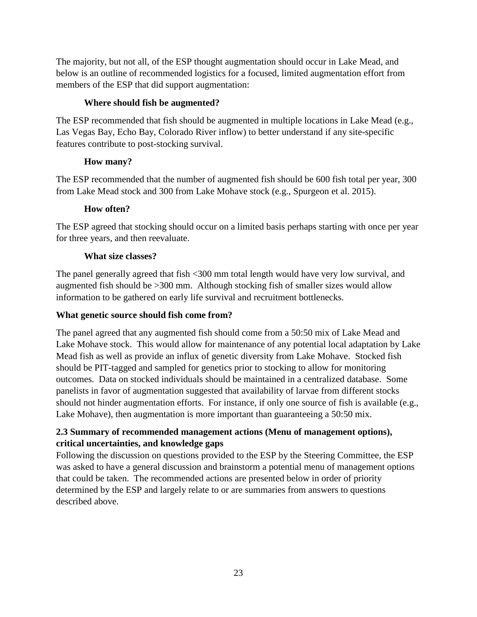The majority, but not all, of the ESP thought augmentation should occur in Lake Mead, and below is an outline of recommended logistics for a focused, limited augmentation effort from members of the ESP that did support augmentation:

## **Where should fish be augmented?**

The ESP recommended that fish should be augmented in multiple locations in Lake Mead (e.g., Las Vegas Bay, Echo Bay, Colorado River inflow) to better understand if any site-specific features contribute to post-stocking survival.

## **How many?**

The ESP recommended that the number of augmented fish should be 600 fish total per year, 300 from Lake Mead stock and 300 from Lake Mohave stock (e.g., Spurgeon et al. 2015).

## **How often?**

The ESP agreed that stocking should occur on a limited basis perhaps starting with once per year for three years, and then reevaluate.

## **What size classes?**

The panel generally agreed that fish <300 mm total length would have very low survival, and augmented fish should be >300 mm. Although stocking fish of smaller sizes would allow information to be gathered on early life survival and recruitment bottlenecks.

## **What genetic source should fish come from?**

The panel agreed that any augmented fish should come from a 50:50 mix of Lake Mead and Lake Mohave stock. This would allow for maintenance of any potential local adaptation by Lake Mead fish as well as provide an influx of genetic diversity from Lake Mohave. Stocked fish should be PIT-tagged and sampled for genetics prior to stocking to allow for monitoring outcomes. Data on stocked individuals should be maintained in a centralized database. Some panelists in favor of augmentation suggested that availability of larvae from different stocks should not hinder augmentation efforts. For instance, if only one source of fish is available (e.g., Lake Mohave), then augmentation is more important than guaranteeing a 50:50 mix.

## <span id="page-24-0"></span>**2.3 Summary of recommended management actions (Menu of management options), critical uncertainties, and knowledge gaps**

Following the discussion on questions provided to the ESP by the Steering Committee, the ESP was asked to have a general discussion and brainstorm a potential menu of management options that could be taken. The recommended actions are presented below in order of priority determined by the ESP and largely relate to or are summaries from answers to questions described above.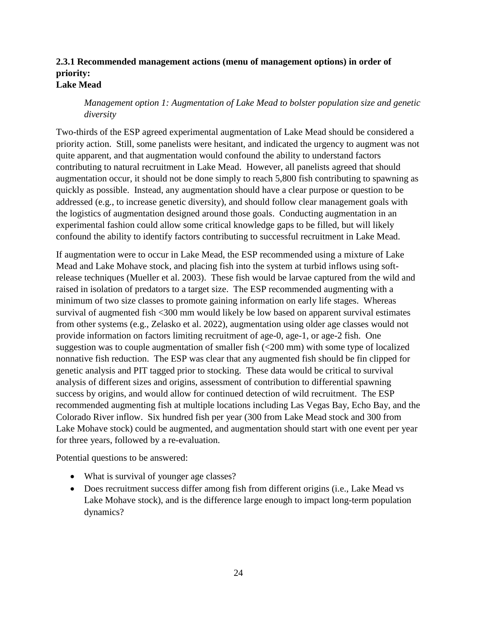#### <span id="page-25-0"></span>**2.3.1 Recommended management actions (menu of management options) in order of priority: Lake Mead**

*Management option 1: Augmentation of Lake Mead to bolster population size and genetic diversity*

Two-thirds of the ESP agreed experimental augmentation of Lake Mead should be considered a priority action. Still, some panelists were hesitant, and indicated the urgency to augment was not quite apparent, and that augmentation would confound the ability to understand factors contributing to natural recruitment in Lake Mead. However, all panelists agreed that should augmentation occur, it should not be done simply to reach 5,800 fish contributing to spawning as quickly as possible. Instead, any augmentation should have a clear purpose or question to be addressed (e.g., to increase genetic diversity), and should follow clear management goals with the logistics of augmentation designed around those goals. Conducting augmentation in an experimental fashion could allow some critical knowledge gaps to be filled, but will likely confound the ability to identify factors contributing to successful recruitment in Lake Mead.

If augmentation were to occur in Lake Mead, the ESP recommended using a mixture of Lake Mead and Lake Mohave stock, and placing fish into the system at turbid inflows using softrelease techniques (Mueller et al. 2003). These fish would be larvae captured from the wild and raised in isolation of predators to a target size. The ESP recommended augmenting with a minimum of two size classes to promote gaining information on early life stages. Whereas survival of augmented fish <300 mm would likely be low based on apparent survival estimates from other systems (e.g., Zelasko et al. 2022), augmentation using older age classes would not provide information on factors limiting recruitment of age-0, age-1, or age-2 fish. One suggestion was to couple augmentation of smaller fish (<200 mm) with some type of localized nonnative fish reduction. The ESP was clear that any augmented fish should be fin clipped for genetic analysis and PIT tagged prior to stocking. These data would be critical to survival analysis of different sizes and origins, assessment of contribution to differential spawning success by origins, and would allow for continued detection of wild recruitment. The ESP recommended augmenting fish at multiple locations including Las Vegas Bay, Echo Bay, and the Colorado River inflow. Six hundred fish per year (300 from Lake Mead stock and 300 from Lake Mohave stock) could be augmented, and augmentation should start with one event per year for three years, followed by a re-evaluation.

Potential questions to be answered:

- What is survival of younger age classes?
- Does recruitment success differ among fish from different origins (i.e., Lake Mead vs Lake Mohave stock), and is the difference large enough to impact long-term population dynamics?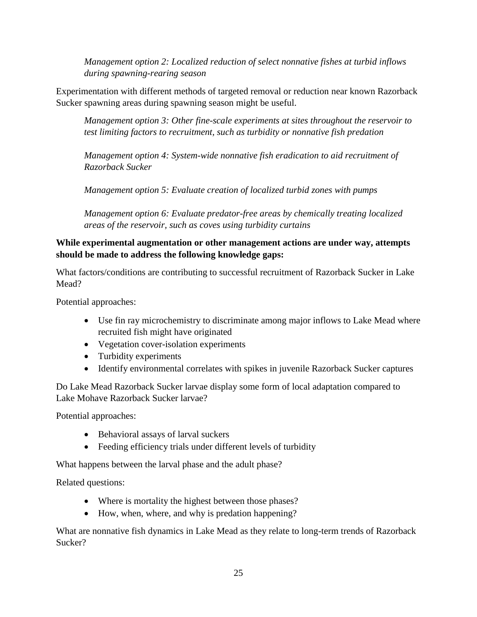*Management option 2: Localized reduction of select nonnative fishes at turbid inflows during spawning-rearing season*

Experimentation with different methods of targeted removal or reduction near known Razorback Sucker spawning areas during spawning season might be useful.

*Management option 3: Other fine-scale experiments at sites throughout the reservoir to test limiting factors to recruitment, such as turbidity or nonnative fish predation*

*Management option 4: System-wide nonnative fish eradication to aid recruitment of Razorback Sucker*

*Management option 5: Evaluate creation of localized turbid zones with pumps*

*Management option 6: Evaluate predator-free areas by chemically treating localized areas of the reservoir, such as coves using turbidity curtains*

#### **While experimental augmentation or other management actions are under way, attempts should be made to address the following knowledge gaps:**

What factors/conditions are contributing to successful recruitment of Razorback Sucker in Lake Mead?

Potential approaches:

- Use fin ray microchemistry to discriminate among major inflows to Lake Mead where recruited fish might have originated
- Vegetation cover-isolation experiments
- Turbidity experiments
- Identify environmental correlates with spikes in juvenile Razorback Sucker captures

Do Lake Mead Razorback Sucker larvae display some form of local adaptation compared to Lake Mohave Razorback Sucker larvae?

Potential approaches:

- Behavioral assays of larval suckers
- Feeding efficiency trials under different levels of turbidity

What happens between the larval phase and the adult phase?

Related questions:

- Where is mortality the highest between those phases?
- How, when, where, and why is predation happening?

What are nonnative fish dynamics in Lake Mead as they relate to long-term trends of Razorback Sucker?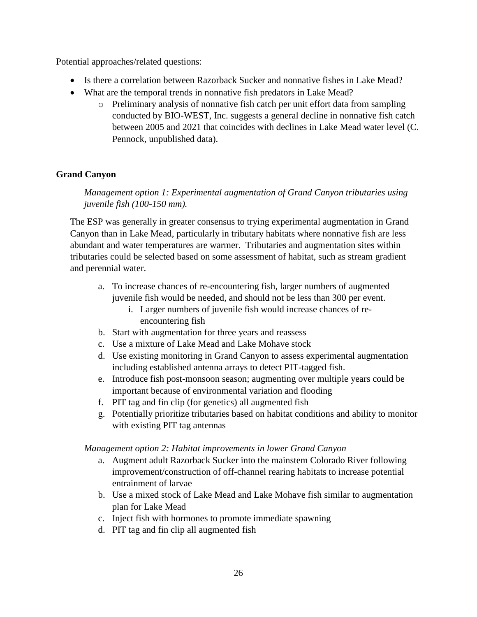Potential approaches/related questions:

- Is there a correlation between Razorback Sucker and nonnative fishes in Lake Mead?
- What are the temporal trends in nonnative fish predators in Lake Mead?
	- o Preliminary analysis of nonnative fish catch per unit effort data from sampling conducted by BIO-WEST, Inc. suggests a general decline in nonnative fish catch between 2005 and 2021 that coincides with declines in Lake Mead water level (C. Pennock, unpublished data).

## **Grand Canyon**

*Management option 1: Experimental augmentation of Grand Canyon tributaries using juvenile fish (100-150 mm).*

The ESP was generally in greater consensus to trying experimental augmentation in Grand Canyon than in Lake Mead, particularly in tributary habitats where nonnative fish are less abundant and water temperatures are warmer. Tributaries and augmentation sites within tributaries could be selected based on some assessment of habitat, such as stream gradient and perennial water.

- a. To increase chances of re-encountering fish, larger numbers of augmented juvenile fish would be needed, and should not be less than 300 per event.
	- i. Larger numbers of juvenile fish would increase chances of reencountering fish
- b. Start with augmentation for three years and reassess
- c. Use a mixture of Lake Mead and Lake Mohave stock
- d. Use existing monitoring in Grand Canyon to assess experimental augmentation including established antenna arrays to detect PIT-tagged fish.
- e. Introduce fish post-monsoon season; augmenting over multiple years could be important because of environmental variation and flooding
- f. PIT tag and fin clip (for genetics) all augmented fish
- g. Potentially prioritize tributaries based on habitat conditions and ability to monitor with existing PIT tag antennas

*Management option 2: Habitat improvements in lower Grand Canyon*

- a. Augment adult Razorback Sucker into the mainstem Colorado River following improvement/construction of off-channel rearing habitats to increase potential entrainment of larvae
- b. Use a mixed stock of Lake Mead and Lake Mohave fish similar to augmentation plan for Lake Mead
- c. Inject fish with hormones to promote immediate spawning
- d. PIT tag and fin clip all augmented fish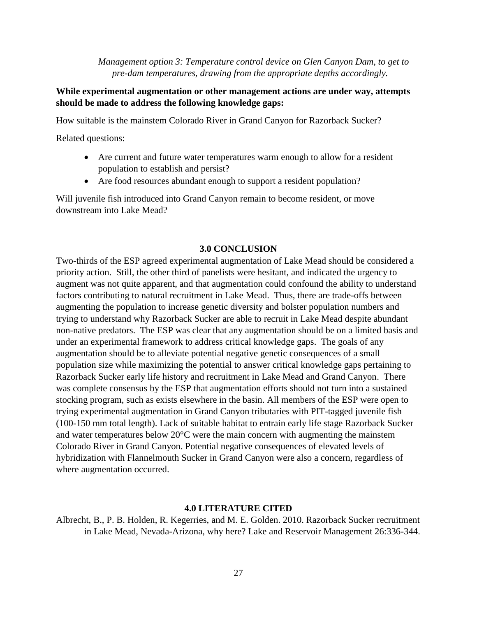*Management option 3: Temperature control device on Glen Canyon Dam, to get to pre-dam temperatures, drawing from the appropriate depths accordingly.*

#### **While experimental augmentation or other management actions are under way, attempts should be made to address the following knowledge gaps:**

How suitable is the mainstem Colorado River in Grand Canyon for Razorback Sucker?

Related questions:

- Are current and future water temperatures warm enough to allow for a resident population to establish and persist?
- Are food resources abundant enough to support a resident population?

Will juvenile fish introduced into Grand Canyon remain to become resident, or move downstream into Lake Mead?

#### **3.0 CONCLUSION**

<span id="page-28-0"></span>Two-thirds of the ESP agreed experimental augmentation of Lake Mead should be considered a priority action. Still, the other third of panelists were hesitant, and indicated the urgency to augment was not quite apparent, and that augmentation could confound the ability to understand factors contributing to natural recruitment in Lake Mead. Thus, there are trade-offs between augmenting the population to increase genetic diversity and bolster population numbers and trying to understand why Razorback Sucker are able to recruit in Lake Mead despite abundant non-native predators. The ESP was clear that any augmentation should be on a limited basis and under an experimental framework to address critical knowledge gaps. The goals of any augmentation should be to alleviate potential negative genetic consequences of a small population size while maximizing the potential to answer critical knowledge gaps pertaining to Razorback Sucker early life history and recruitment in Lake Mead and Grand Canyon. There was complete consensus by the ESP that augmentation efforts should not turn into a sustained stocking program, such as exists elsewhere in the basin. All members of the ESP were open to trying experimental augmentation in Grand Canyon tributaries with PIT-tagged juvenile fish (100-150 mm total length). Lack of suitable habitat to entrain early life stage Razorback Sucker and water temperatures below 20°C were the main concern with augmenting the mainstem Colorado River in Grand Canyon. Potential negative consequences of elevated levels of hybridization with Flannelmouth Sucker in Grand Canyon were also a concern, regardless of where augmentation occurred.

#### **4.0 LITERATURE CITED**

<span id="page-28-1"></span>Albrecht, B., P. B. Holden, R. Kegerries, and M. E. Golden. 2010. Razorback Sucker recruitment in Lake Mead, Nevada-Arizona, why here? Lake and Reservoir Management 26:336-344.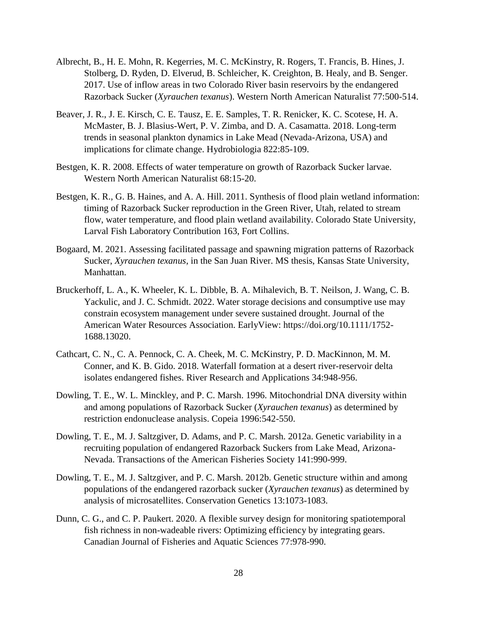- Albrecht, B., H. E. Mohn, R. Kegerries, M. C. McKinstry, R. Rogers, T. Francis, B. Hines, J. Stolberg, D. Ryden, D. Elverud, B. Schleicher, K. Creighton, B. Healy, and B. Senger. 2017. Use of inflow areas in two Colorado River basin reservoirs by the endangered Razorback Sucker (*Xyrauchen texanus*). Western North American Naturalist 77:500-514.
- Beaver, J. R., J. E. Kirsch, C. E. Tausz, E. E. Samples, T. R. Renicker, K. C. Scotese, H. A. McMaster, B. J. Blasius-Wert, P. V. Zimba, and D. A. Casamatta. 2018. Long-term trends in seasonal plankton dynamics in Lake Mead (Nevada-Arizona, USA) and implications for climate change. Hydrobiologia 822:85-109.
- Bestgen, K. R. 2008. Effects of water temperature on growth of Razorback Sucker larvae. Western North American Naturalist 68:15-20.
- Bestgen, K. R., G. B. Haines, and A. A. Hill. 2011. Synthesis of flood plain wetland information: timing of Razorback Sucker reproduction in the Green River, Utah, related to stream flow, water temperature, and flood plain wetland availability. Colorado State University, Larval Fish Laboratory Contribution 163, Fort Collins.
- Bogaard, M. 2021. Assessing facilitated passage and spawning migration patterns of Razorback Sucker, *Xyrauchen texanus*, in the San Juan River. MS thesis, Kansas State University, Manhattan.
- Bruckerhoff, L. A., K. Wheeler, K. L. Dibble, B. A. Mihalevich, B. T. Neilson, J. Wang, C. B. Yackulic, and J. C. Schmidt. 2022. Water storage decisions and consumptive use may constrain ecosystem management under severe sustained drought. Journal of the American Water Resources Association. EarlyView: https://doi.org/10.1111/1752- 1688.13020.
- Cathcart, C. N., C. A. Pennock, C. A. Cheek, M. C. McKinstry, P. D. MacKinnon, M. M. Conner, and K. B. Gido. 2018. Waterfall formation at a desert river-reservoir delta isolates endangered fishes. River Research and Applications 34:948-956.
- Dowling, T. E., W. L. Minckley, and P. C. Marsh. 1996. Mitochondrial DNA diversity within and among populations of Razorback Sucker (*Xyrauchen texanus*) as determined by restriction endonuclease analysis. Copeia 1996:542-550.
- Dowling, T. E., M. J. Saltzgiver, D. Adams, and P. C. Marsh. 2012a. Genetic variability in a recruiting population of endangered Razorback Suckers from Lake Mead, Arizona-Nevada. Transactions of the American Fisheries Society 141:990-999.
- Dowling, T. E., M. J. Saltzgiver, and P. C. Marsh. 2012b. Genetic structure within and among populations of the endangered razorback sucker (*Xyrauchen texanus*) as determined by analysis of microsatellites. Conservation Genetics 13:1073-1083.
- Dunn, C. G., and C. P. Paukert. 2020. A flexible survey design for monitoring spatiotemporal fish richness in non-wadeable rivers: Optimizing efficiency by integrating gears. Canadian Journal of Fisheries and Aquatic Sciences 77:978-990.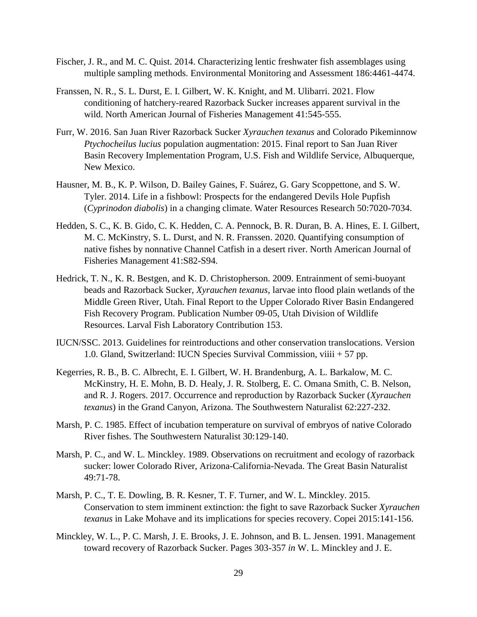- Fischer, J. R., and M. C. Quist. 2014. Characterizing lentic freshwater fish assemblages using multiple sampling methods. Environmental Monitoring and Assessment 186:4461-4474.
- Franssen, N. R., S. L. Durst, E. I. Gilbert, W. K. Knight, and M. Ulibarri. 2021. Flow conditioning of hatchery-reared Razorback Sucker increases apparent survival in the wild. North American Journal of Fisheries Management 41:545-555.
- Furr, W. 2016. San Juan River Razorback Sucker *Xyrauchen texanus* and Colorado Pikeminnow *Ptychocheilus lucius* population augmentation: 2015. Final report to San Juan River Basin Recovery Implementation Program, U.S. Fish and Wildlife Service, Albuquerque, New Mexico.
- Hausner, M. B., K. P. Wilson, D. Bailey Gaines, F. Suárez, G. Gary Scoppettone, and S. W. Tyler. 2014. Life in a fishbowl: Prospects for the endangered Devils Hole Pupfish (*Cyprinodon diabolis*) in a changing climate. Water Resources Research 50:7020-7034.
- Hedden, S. C., K. B. Gido, C. K. Hedden, C. A. Pennock, B. R. Duran, B. A. Hines, E. I. Gilbert, M. C. McKinstry, S. L. Durst, and N. R. Franssen. 2020. Quantifying consumption of native fishes by nonnative Channel Catfish in a desert river. North American Journal of Fisheries Management 41:S82-S94.
- Hedrick, T. N., K. R. Bestgen, and K. D. Christopherson. 2009. Entrainment of semi-buoyant beads and Razorback Sucker, *Xyrauchen texanus*, larvae into flood plain wetlands of the Middle Green River, Utah. Final Report to the Upper Colorado River Basin Endangered Fish Recovery Program. Publication Number 09-05, Utah Division of Wildlife Resources. Larval Fish Laboratory Contribution 153.
- IUCN/SSC. 2013. Guidelines for reintroductions and other conservation translocations. Version 1.0. Gland, Switzerland: IUCN Species Survival Commission, viiii + 57 pp.
- Kegerries, R. B., B. C. Albrecht, E. I. Gilbert, W. H. Brandenburg, A. L. Barkalow, M. C. McKinstry, H. E. Mohn, B. D. Healy, J. R. Stolberg, E. C. Omana Smith, C. B. Nelson, and R. J. Rogers. 2017. Occurrence and reproduction by Razorback Sucker (*Xyrauchen texanus*) in the Grand Canyon, Arizona. The Southwestern Naturalist 62:227-232.
- Marsh, P. C. 1985. Effect of incubation temperature on survival of embryos of native Colorado River fishes. The Southwestern Naturalist 30:129-140.
- Marsh, P. C., and W. L. Minckley. 1989. Observations on recruitment and ecology of razorback sucker: lower Colorado River, Arizona-California-Nevada. The Great Basin Naturalist 49:71-78.
- Marsh, P. C., T. E. Dowling, B. R. Kesner, T. F. Turner, and W. L. Minckley. 2015. Conservation to stem imminent extinction: the fight to save Razorback Sucker *Xyrauchen texanus* in Lake Mohave and its implications for species recovery. Copei 2015:141-156.
- Minckley, W. L., P. C. Marsh, J. E. Brooks, J. E. Johnson, and B. L. Jensen. 1991. Management toward recovery of Razorback Sucker. Pages 303-357 *in* W. L. Minckley and J. E.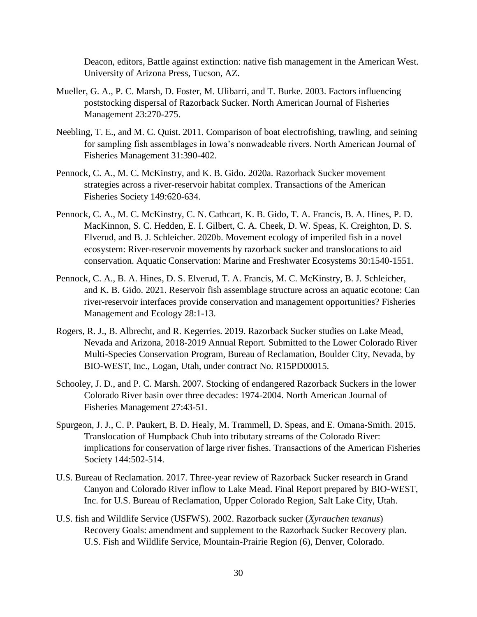Deacon, editors, Battle against extinction: native fish management in the American West. University of Arizona Press, Tucson, AZ.

- Mueller, G. A., P. C. Marsh, D. Foster, M. Ulibarri, and T. Burke. 2003. Factors influencing poststocking dispersal of Razorback Sucker. North American Journal of Fisheries Management 23:270-275.
- Neebling, T. E., and M. C. Quist. 2011. Comparison of boat electrofishing, trawling, and seining for sampling fish assemblages in Iowa's nonwadeable rivers. North American Journal of Fisheries Management 31:390-402.
- Pennock, C. A., M. C. McKinstry, and K. B. Gido. 2020a. Razorback Sucker movement strategies across a river-reservoir habitat complex. Transactions of the American Fisheries Society 149:620-634.
- Pennock, C. A., M. C. McKinstry, C. N. Cathcart, K. B. Gido, T. A. Francis, B. A. Hines, P. D. MacKinnon, S. C. Hedden, E. I. Gilbert, C. A. Cheek, D. W. Speas, K. Creighton, D. S. Elverud, and B. J. Schleicher. 2020b. Movement ecology of imperiled fish in a novel ecosystem: River-reservoir movements by razorback sucker and translocations to aid conservation. Aquatic Conservation: Marine and Freshwater Ecosystems 30:1540-1551.
- Pennock, C. A., B. A. Hines, D. S. Elverud, T. A. Francis, M. C. McKinstry, B. J. Schleicher, and K. B. Gido. 2021. Reservoir fish assemblage structure across an aquatic ecotone: Can river-reservoir interfaces provide conservation and management opportunities? Fisheries Management and Ecology 28:1-13.
- Rogers, R. J., B. Albrecht, and R. Kegerries. 2019. Razorback Sucker studies on Lake Mead, Nevada and Arizona, 2018-2019 Annual Report. Submitted to the Lower Colorado River Multi-Species Conservation Program, Bureau of Reclamation, Boulder City, Nevada, by BIO-WEST, Inc., Logan, Utah, under contract No. R15PD00015.
- Schooley, J. D., and P. C. Marsh. 2007. Stocking of endangered Razorback Suckers in the lower Colorado River basin over three decades: 1974-2004. North American Journal of Fisheries Management 27:43-51.
- Spurgeon, J. J., C. P. Paukert, B. D. Healy, M. Trammell, D. Speas, and E. Omana-Smith. 2015. Translocation of Humpback Chub into tributary streams of the Colorado River: implications for conservation of large river fishes. Transactions of the American Fisheries Society 144:502-514.
- U.S. Bureau of Reclamation. 2017. Three-year review of Razorback Sucker research in Grand Canyon and Colorado River inflow to Lake Mead. Final Report prepared by BIO-WEST, Inc. for U.S. Bureau of Reclamation, Upper Colorado Region, Salt Lake City, Utah.
- U.S. fish and Wildlife Service (USFWS). 2002. Razorback sucker (*Xyrauchen texanus*) Recovery Goals: amendment and supplement to the Razorback Sucker Recovery plan. U.S. Fish and Wildlife Service, Mountain-Prairie Region (6), Denver, Colorado.